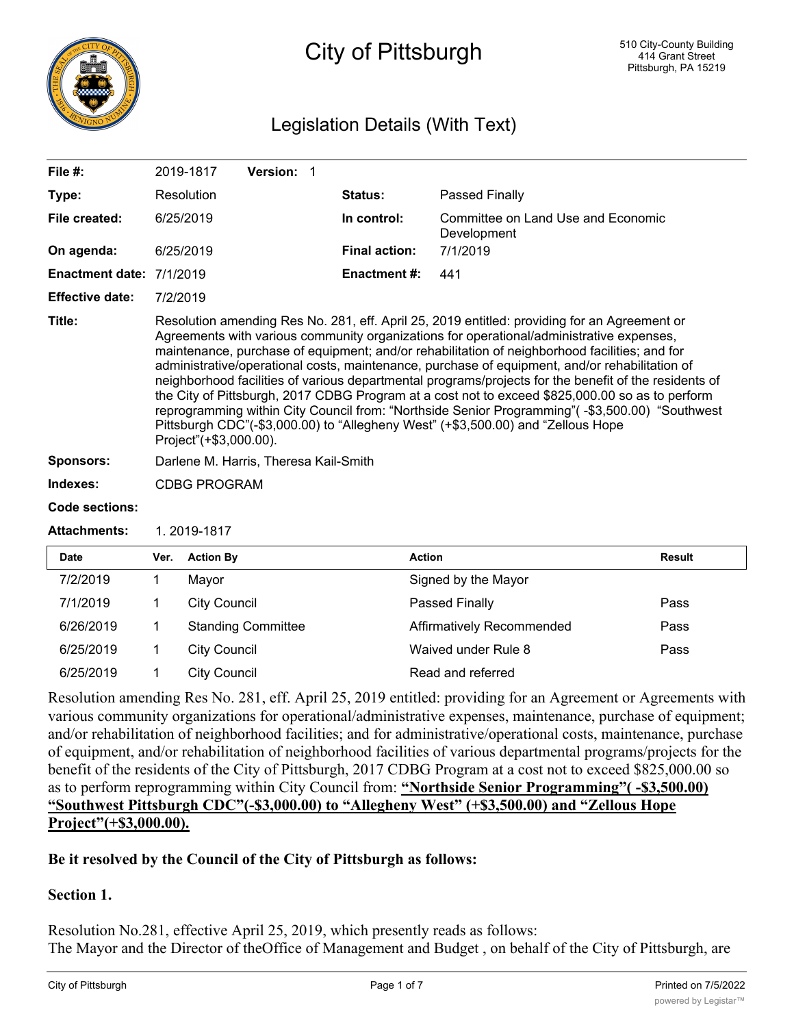

## City of Pittsburgh

## Legislation Details (With Text)

| File $#$ :             |                                                                                                                                                                                                                                                                                                                                                                                                                                                                                                                                                                                                                                                                                                                                                                                                                         | 2019-1817           | Version: 1                |  |                      |                                                   |               |
|------------------------|-------------------------------------------------------------------------------------------------------------------------------------------------------------------------------------------------------------------------------------------------------------------------------------------------------------------------------------------------------------------------------------------------------------------------------------------------------------------------------------------------------------------------------------------------------------------------------------------------------------------------------------------------------------------------------------------------------------------------------------------------------------------------------------------------------------------------|---------------------|---------------------------|--|----------------------|---------------------------------------------------|---------------|
| Type:                  |                                                                                                                                                                                                                                                                                                                                                                                                                                                                                                                                                                                                                                                                                                                                                                                                                         | Resolution          |                           |  | Status:              | Passed Finally                                    |               |
| File created:          |                                                                                                                                                                                                                                                                                                                                                                                                                                                                                                                                                                                                                                                                                                                                                                                                                         | 6/25/2019           |                           |  | In control:          | Committee on Land Use and Economic<br>Development |               |
| On agenda:             |                                                                                                                                                                                                                                                                                                                                                                                                                                                                                                                                                                                                                                                                                                                                                                                                                         | 6/25/2019           |                           |  | <b>Final action:</b> | 7/1/2019                                          |               |
| <b>Enactment date:</b> | 7/1/2019                                                                                                                                                                                                                                                                                                                                                                                                                                                                                                                                                                                                                                                                                                                                                                                                                |                     |                           |  | <b>Enactment #:</b>  | 441                                               |               |
| <b>Effective date:</b> | 7/2/2019                                                                                                                                                                                                                                                                                                                                                                                                                                                                                                                                                                                                                                                                                                                                                                                                                |                     |                           |  |                      |                                                   |               |
| Title:                 | Resolution amending Res No. 281, eff. April 25, 2019 entitled: providing for an Agreement or<br>Agreements with various community organizations for operational/administrative expenses,<br>maintenance, purchase of equipment; and/or rehabilitation of neighborhood facilities; and for<br>administrative/operational costs, maintenance, purchase of equipment, and/or rehabilitation of<br>neighborhood facilities of various departmental programs/projects for the benefit of the residents of<br>the City of Pittsburgh, 2017 CDBG Program at a cost not to exceed \$825,000.00 so as to perform<br>reprogramming within City Council from: "Northside Senior Programming"(-\$3,500.00) "Southwest<br>Pittsburgh CDC"(-\$3,000.00) to "Allegheny West" (+\$3,500.00) and "Zellous Hope<br>Project"(+\$3,000.00). |                     |                           |  |                      |                                                   |               |
| <b>Sponsors:</b>       | Darlene M. Harris, Theresa Kail-Smith                                                                                                                                                                                                                                                                                                                                                                                                                                                                                                                                                                                                                                                                                                                                                                                   |                     |                           |  |                      |                                                   |               |
| Indexes:               | <b>CDBG PROGRAM</b>                                                                                                                                                                                                                                                                                                                                                                                                                                                                                                                                                                                                                                                                                                                                                                                                     |                     |                           |  |                      |                                                   |               |
| <b>Code sections:</b>  |                                                                                                                                                                                                                                                                                                                                                                                                                                                                                                                                                                                                                                                                                                                                                                                                                         |                     |                           |  |                      |                                                   |               |
| <b>Attachments:</b>    |                                                                                                                                                                                                                                                                                                                                                                                                                                                                                                                                                                                                                                                                                                                                                                                                                         | 1.2019-1817         |                           |  |                      |                                                   |               |
| <b>Date</b>            | Ver.                                                                                                                                                                                                                                                                                                                                                                                                                                                                                                                                                                                                                                                                                                                                                                                                                    | <b>Action By</b>    |                           |  |                      | <b>Action</b>                                     | <b>Result</b> |
| 7/2/2019               | 1                                                                                                                                                                                                                                                                                                                                                                                                                                                                                                                                                                                                                                                                                                                                                                                                                       | Mayor               |                           |  |                      | Signed by the Mayor                               |               |
| 7/1/2019               | 1                                                                                                                                                                                                                                                                                                                                                                                                                                                                                                                                                                                                                                                                                                                                                                                                                       | <b>City Council</b> |                           |  |                      | Passed Finally                                    | Pass          |
| 6/26/2019              | 1                                                                                                                                                                                                                                                                                                                                                                                                                                                                                                                                                                                                                                                                                                                                                                                                                       |                     | <b>Standing Committee</b> |  |                      | Affirmatively Recommended                         | Pass          |

Resolution amending Res No. 281, eff. April 25, 2019 entitled: providing for an Agreement or Agreements with various community organizations for operational/administrative expenses, maintenance, purchase of equipment; and/or rehabilitation of neighborhood facilities; and for administrative/operational costs, maintenance, purchase of equipment, and/or rehabilitation of neighborhood facilities of various departmental programs/projects for the benefit of the residents of the City of Pittsburgh, 2017 CDBG Program at a cost not to exceed \$825,000.00 so as to perform reprogramming within City Council from: **"Northside Senior Programming"( -\$3,500.00) "Southwest Pittsburgh CDC"(-\$3,000.00) to "Allegheny West" (+\$3,500.00) and "Zellous Hope Project"(+\$3,000.00).**

6/25/2019 1 City Council Waived under Rule 8 Pass

### **Be it resolved by the Council of the City of Pittsburgh as follows:**

6/25/2019 1 City Council Council Read and referred

## **Section 1.**

Resolution No.281, effective April 25, 2019, which presently reads as follows: The Mayor and the Director of theOffice of Management and Budget , on behalf of the City of Pittsburgh, are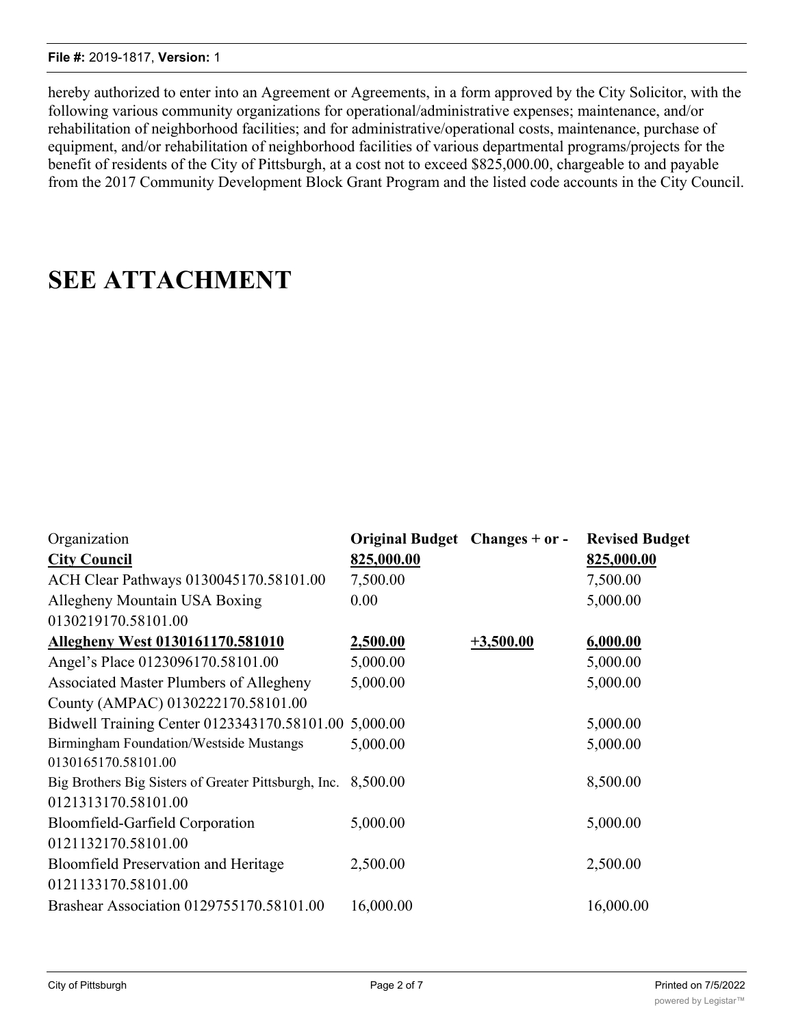#### **File #:** 2019-1817, **Version:** 1

hereby authorized to enter into an Agreement or Agreements, in a form approved by the City Solicitor, with the following various community organizations for operational/administrative expenses; maintenance, and/or rehabilitation of neighborhood facilities; and for administrative/operational costs, maintenance, purchase of equipment, and/or rehabilitation of neighborhood facilities of various departmental programs/projects for the benefit of residents of the City of Pittsburgh, at a cost not to exceed \$825,000.00, chargeable to and payable from the 2017 Community Development Block Grant Program and the listed code accounts in the City Council.

# **SEE ATTACHMENT**

| Organization<br><b>City Council</b><br>ACH Clear Pathways 0130045170.58101.00<br>Allegheny Mountain USA Boxing<br>0130219170.58101.00 | Original Budget Changes + or -<br>825,000.00<br>7,500.00<br>0.00 |             | <b>Revised Budget</b><br>825,000.00<br>7,500.00<br>5,000.00 |
|---------------------------------------------------------------------------------------------------------------------------------------|------------------------------------------------------------------|-------------|-------------------------------------------------------------|
| <b>Allegheny West 0130161170.581010</b>                                                                                               | 2,500.00                                                         | $+3,500.00$ | 6,000.00                                                    |
| Angel's Place 0123096170.58101.00                                                                                                     | 5,000.00                                                         |             | 5,000.00                                                    |
| Associated Master Plumbers of Allegheny                                                                                               | 5,000.00                                                         |             | 5,000.00                                                    |
| County (AMPAC) 0130222170.58101.00                                                                                                    |                                                                  |             |                                                             |
| Bidwell Training Center 0123343170.58101.00 5,000.00                                                                                  |                                                                  |             | 5,000.00                                                    |
| Birmingham Foundation/Westside Mustangs                                                                                               | 5,000.00                                                         |             | 5,000.00                                                    |
| 0130165170.58101.00                                                                                                                   |                                                                  |             |                                                             |
| Big Brothers Big Sisters of Greater Pittsburgh, Inc.                                                                                  | 8,500.00                                                         |             | 8,500.00                                                    |
| 0121313170.58101.00                                                                                                                   |                                                                  |             |                                                             |
| Bloomfield-Garfield Corporation                                                                                                       | 5,000.00                                                         |             | 5,000.00                                                    |
| 0121132170.58101.00                                                                                                                   |                                                                  |             |                                                             |
| <b>Bloomfield Preservation and Heritage</b>                                                                                           | 2,500.00                                                         |             | 2,500.00                                                    |
| 0121133170.58101.00                                                                                                                   |                                                                  |             |                                                             |
| Brashear Association 0129755170.58101.00                                                                                              | 16,000.00                                                        |             | 16,000.00                                                   |

0130099170.58101.00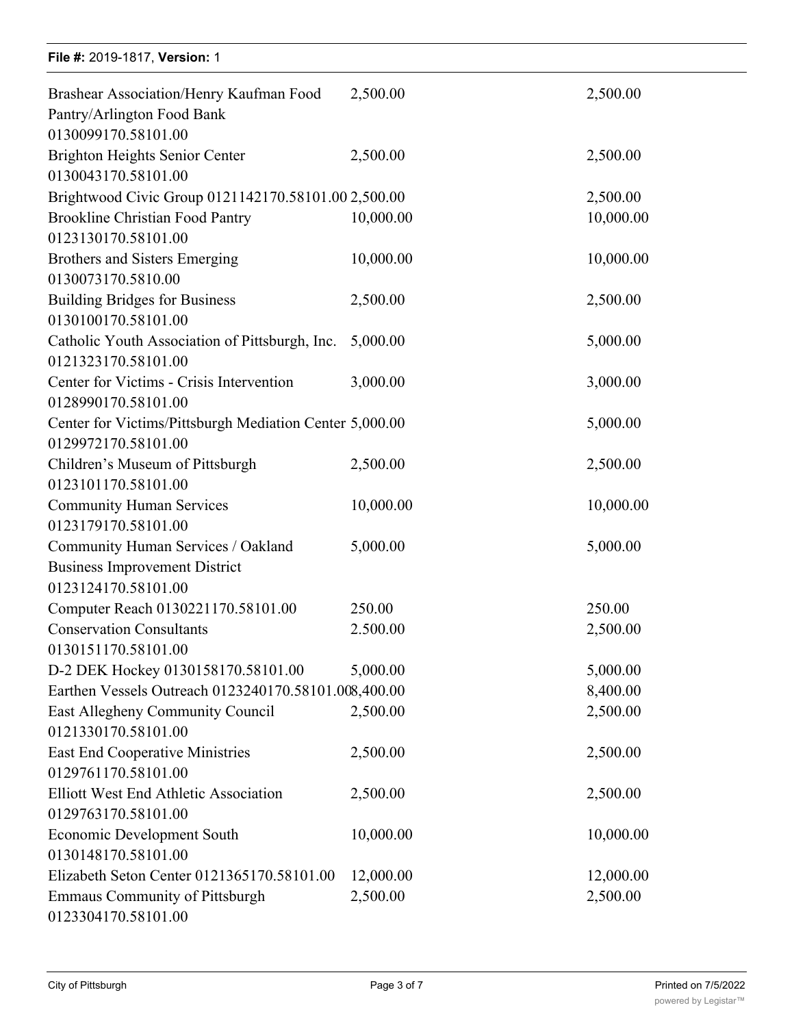| File #: 2019-1817, Version: 1                                                                              |                       |                       |
|------------------------------------------------------------------------------------------------------------|-----------------------|-----------------------|
| Brashear Association/Henry Kaufman Food<br>Pantry/Arlington Food Bank<br>0130099170.58101.00               | 2,500.00              | 2,500.00              |
| <b>Brighton Heights Senior Center</b><br>0130043170.58101.00                                               | 2,500.00              | 2,500.00              |
| Brightwood Civic Group 0121142170.58101.00 2,500.00                                                        |                       | 2,500.00              |
| <b>Brookline Christian Food Pantry</b><br>0123130170.58101.00                                              | 10,000.00             | 10,000.00             |
| <b>Brothers and Sisters Emerging</b><br>0130073170.5810.00                                                 | 10,000.00             | 10,000.00             |
| <b>Building Bridges for Business</b><br>0130100170.58101.00                                                | 2,500.00              | 2,500.00              |
| Catholic Youth Association of Pittsburgh, Inc.<br>0121323170.58101.00                                      | 5,000.00              | 5,000.00              |
| Center for Victims - Crisis Intervention<br>0128990170.58101.00                                            | 3,000.00              | 3,000.00              |
| Center for Victims/Pittsburgh Mediation Center 5,000.00<br>0129972170.58101.00                             |                       | 5,000.00              |
| Children's Museum of Pittsburgh<br>0123101170.58101.00                                                     | 2,500.00              | 2,500.00              |
| <b>Community Human Services</b><br>0123179170.58101.00                                                     | 10,000.00             | 10,000.00             |
| Community Human Services / Oakland<br><b>Business Improvement District</b><br>0123124170.58101.00          | 5,000.00              | 5,000.00              |
| Computer Reach 0130221170.58101.00                                                                         | 250.00                | 250.00                |
| <b>Conservation Consultants</b><br>0130151170.58101.00                                                     | 2.500.00              | 2,500.00              |
| D-2 DEK Hockey 0130158170.58101.00                                                                         | 5,000.00              | 5,000.00              |
| Earthen Vessels Outreach 0123240170.58101.008,400.00                                                       |                       | 8,400.00              |
| East Allegheny Community Council<br>0121330170.58101.00                                                    | 2,500.00              | 2,500.00              |
| <b>East End Cooperative Ministries</b><br>0129761170.58101.00                                              | 2,500.00              | 2,500.00              |
| <b>Elliott West End Athletic Association</b><br>0129763170.58101.00                                        | 2,500.00              | 2,500.00              |
| <b>Economic Development South</b><br>0130148170.58101.00                                                   | 10,000.00             | 10,000.00             |
| Elizabeth Seton Center 0121365170.58101.00<br><b>Emmaus Community of Pittsburgh</b><br>0123304170.58101.00 | 12,000.00<br>2,500.00 | 12,000.00<br>2,500.00 |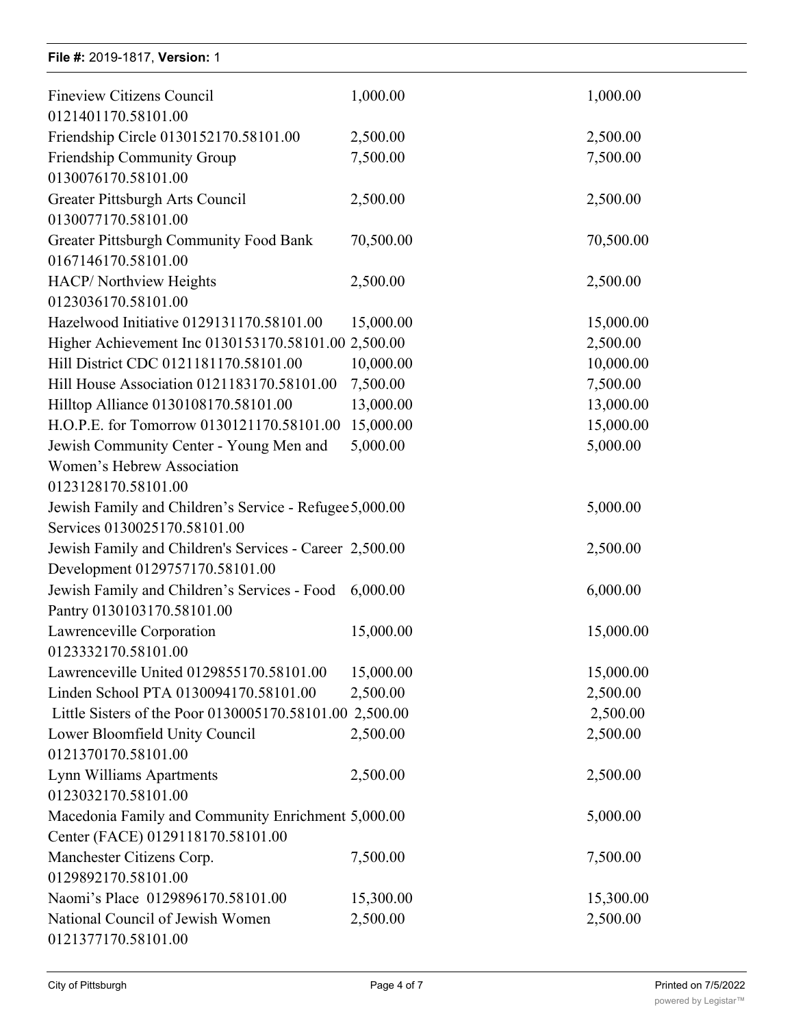## **File #: 2019-1817, Version: 1**

| <b>Fineview Citizens Council</b>                        | 1,000.00  | 1,000.00  |
|---------------------------------------------------------|-----------|-----------|
| 0121401170.58101.00                                     |           |           |
| Friendship Circle 0130152170.58101.00                   | 2,500.00  | 2,500.00  |
| Friendship Community Group                              | 7,500.00  | 7,500.00  |
| 0130076170.58101.00                                     |           |           |
| Greater Pittsburgh Arts Council                         | 2,500.00  | 2,500.00  |
| 0130077170.58101.00                                     |           |           |
| Greater Pittsburgh Community Food Bank                  | 70,500.00 | 70,500.00 |
| 0167146170.58101.00                                     |           |           |
| HACP/Northview Heights                                  | 2,500.00  | 2,500.00  |
| 0123036170.58101.00                                     |           |           |
| Hazelwood Initiative 0129131170.58101.00                | 15,000.00 | 15,000.00 |
| Higher Achievement Inc 0130153170.58101.00 2,500.00     |           | 2,500.00  |
| Hill District CDC 0121181170.58101.00                   | 10,000.00 | 10,000.00 |
| Hill House Association 0121183170.58101.00              | 7,500.00  | 7,500.00  |
| Hilltop Alliance 0130108170.58101.00                    | 13,000.00 | 13,000.00 |
| H.O.P.E. for Tomorrow 0130121170.58101.00               | 15,000.00 | 15,000.00 |
| Jewish Community Center - Young Men and                 | 5,000.00  | 5,000.00  |
| Women's Hebrew Association                              |           |           |
| 0123128170.58101.00                                     |           |           |
| Jewish Family and Children's Service - Refugee 5,000.00 |           | 5,000.00  |
| Services 0130025170.58101.00                            |           |           |
| Jewish Family and Children's Services - Career 2,500.00 |           | 2,500.00  |
| Development 0129757170.58101.00                         |           |           |
| Jewish Family and Children's Services - Food            | 6,000.00  | 6,000.00  |
| Pantry 0130103170.58101.00                              |           |           |
| Lawrenceville Corporation                               | 15,000.00 | 15,000.00 |
| 0123332170.58101.00                                     |           |           |
| Lawrenceville United 0129855170.58101.00                | 15,000.00 | 15,000.00 |
| Linden School PTA 0130094170.58101.00                   | 2,500.00  | 2,500.00  |
| Little Sisters of the Poor 0130005170.58101.00 2,500.00 |           | 2,500.00  |
| Lower Bloomfield Unity Council                          | 2,500.00  | 2,500.00  |
| 0121370170.58101.00                                     |           |           |
| Lynn Williams Apartments                                | 2,500.00  | 2,500.00  |
| 0123032170.58101.00                                     |           |           |
| Macedonia Family and Community Enrichment 5,000.00      |           | 5,000.00  |
| Center (FACE) 0129118170.58101.00                       |           |           |
| Manchester Citizens Corp.                               | 7,500.00  | 7,500.00  |
| 0129892170.58101.00                                     |           |           |
| Naomi's Place 0129896170.58101.00                       | 15,300.00 | 15,300.00 |
| National Council of Jewish Women                        | 2,500.00  | 2,500.00  |
| 0121377170.58101.00                                     |           |           |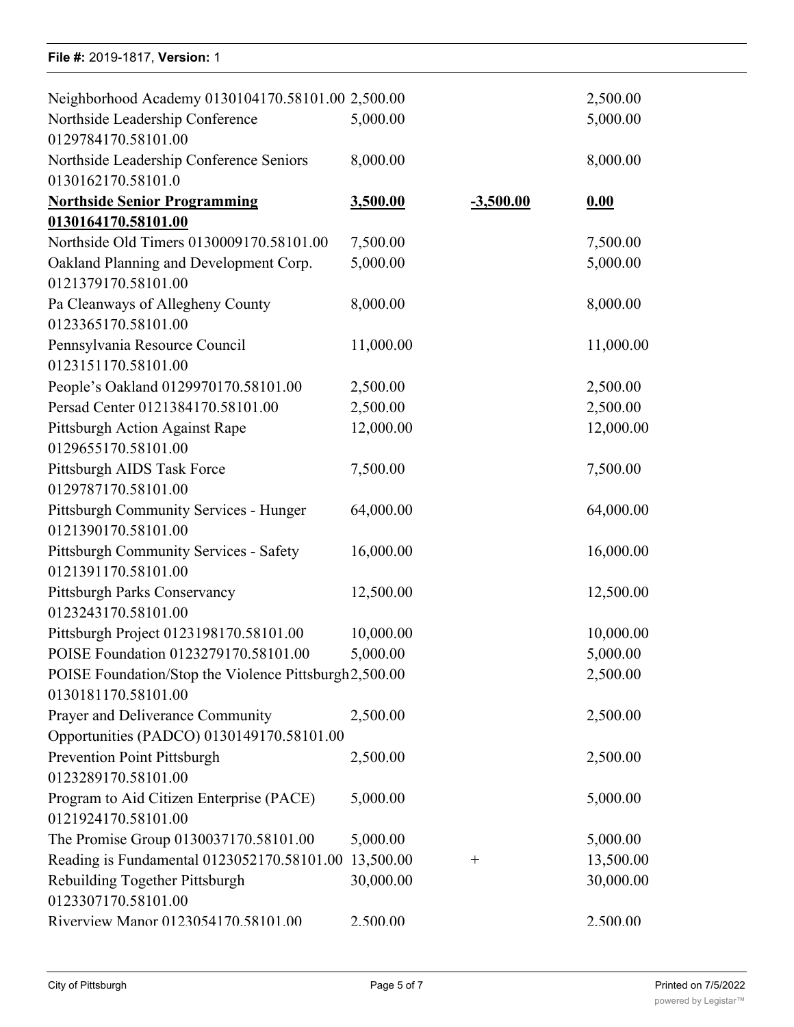### **File #:** 2019-1817, Version: 1

| Neighborhood Academy 0130104170.58101.00 2,500.00      |           |             | 2,500.00  |
|--------------------------------------------------------|-----------|-------------|-----------|
| Northside Leadership Conference                        | 5,000.00  |             | 5,000.00  |
| 0129784170.58101.00                                    |           |             |           |
| Northside Leadership Conference Seniors                | 8,000.00  |             | 8,000.00  |
| 0130162170.58101.0                                     |           |             |           |
| <b>Northside Senior Programming</b>                    | 3,500.00  | $-3,500.00$ | 0.00      |
| 0130164170.58101.00                                    |           |             |           |
| Northside Old Timers 0130009170.58101.00               | 7,500.00  |             | 7,500.00  |
| Oakland Planning and Development Corp.                 | 5,000.00  |             | 5,000.00  |
| 0121379170.58101.00                                    |           |             |           |
| Pa Cleanways of Allegheny County                       | 8,000.00  |             | 8,000.00  |
| 0123365170.58101.00                                    |           |             |           |
| Pennsylvania Resource Council                          | 11,000.00 |             | 11,000.00 |
| 0123151170.58101.00                                    |           |             |           |
| People's Oakland 0129970170.58101.00                   | 2,500.00  |             | 2,500.00  |
| Persad Center 0121384170.58101.00                      | 2,500.00  |             | 2,500.00  |
| Pittsburgh Action Against Rape                         | 12,000.00 |             | 12,000.00 |
| 0129655170.58101.00                                    |           |             |           |
| Pittsburgh AIDS Task Force                             | 7,500.00  |             | 7,500.00  |
| 0129787170.58101.00                                    |           |             |           |
| Pittsburgh Community Services - Hunger                 | 64,000.00 |             | 64,000.00 |
| 0121390170.58101.00                                    |           |             |           |
| Pittsburgh Community Services - Safety                 | 16,000.00 |             | 16,000.00 |
| 0121391170.58101.00                                    |           |             |           |
| Pittsburgh Parks Conservancy                           | 12,500.00 |             | 12,500.00 |
| 0123243170.58101.00                                    |           |             |           |
| Pittsburgh Project 0123198170.58101.00                 | 10,000.00 |             | 10,000.00 |
| POISE Foundation 0123279170.58101.00                   | 5,000.00  |             | 5,000.00  |
| POISE Foundation/Stop the Violence Pittsburgh 2,500.00 |           |             | 2,500.00  |
| 0130181170.58101.00                                    |           |             |           |
| Prayer and Deliverance Community                       | 2,500.00  |             | 2,500.00  |
| Opportunities (PADCO) 0130149170.58101.00              |           |             |           |
| <b>Prevention Point Pittsburgh</b>                     | 2,500.00  |             | 2,500.00  |
| 0123289170.58101.00                                    |           |             |           |
| Program to Aid Citizen Enterprise (PACE)               | 5,000.00  |             | 5,000.00  |
| 0121924170.58101.00                                    |           |             |           |
| The Promise Group 0130037170.58101.00                  | 5,000.00  |             | 5,000.00  |
| Reading is Fundamental 0123052170.58101.00             | 13,500.00 | $^{+}$      | 13,500.00 |
| Rebuilding Together Pittsburgh                         | 30,000.00 |             | 30,000.00 |
| 0123307170.58101.00                                    |           |             |           |
| Riverview Manor 0123054170.58101.00                    | 2.500.00  |             | 2.500.00  |

naominin'i Romano ao amin'ny faritr'i Nord-Amerika. Ny INSEE dia mampiasa ny kaodim-paositra 2008–2014. Ilay k<br>Ny INSEE dia mampiasa ny kaodim-paositra 2014–2014. Ilay kaominina dia kaominina mpikambana amin'ny fivondrona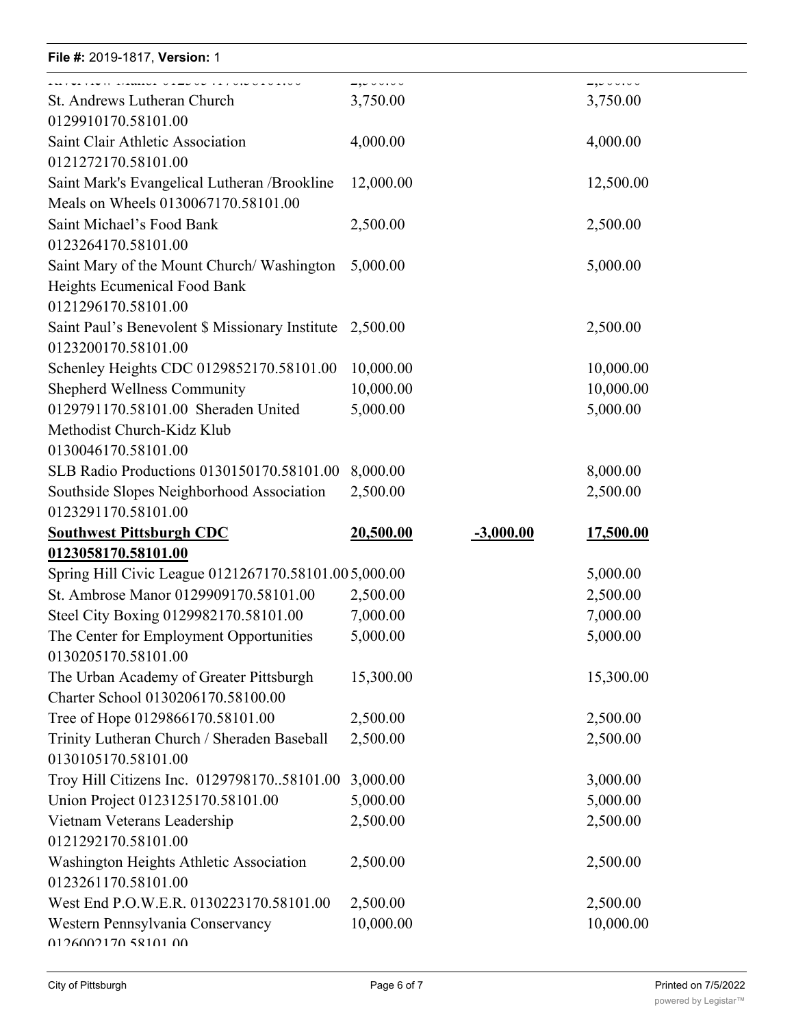| File #: 2019-1817, Version: 1                                                                    |                   |             |                     |  |
|--------------------------------------------------------------------------------------------------|-------------------|-------------|---------------------|--|
| St. Andrews Lutheran Church                                                                      | $-,-$<br>3,750.00 |             | -,-----<br>3,750.00 |  |
| 0129910170.58101.00                                                                              |                   |             |                     |  |
| Saint Clair Athletic Association                                                                 | 4,000.00          |             | 4,000.00            |  |
| 0121272170.58101.00                                                                              |                   |             |                     |  |
| Saint Mark's Evangelical Lutheran / Brookline<br>Meals on Wheels 0130067170.58101.00             | 12,000.00         |             | 12,500.00           |  |
| Saint Michael's Food Bank<br>0123264170.58101.00                                                 | 2,500.00          |             | 2,500.00            |  |
| Saint Mary of the Mount Church/Washington<br>Heights Ecumenical Food Bank<br>0121296170.58101.00 | 5,000.00          |             | 5,000.00            |  |
| Saint Paul's Benevolent \$ Missionary Institute<br>0123200170.58101.00                           | 2,500.00          |             | 2,500.00            |  |
| Schenley Heights CDC 0129852170.58101.00                                                         | 10,000.00         |             | 10,000.00           |  |
| <b>Shepherd Wellness Community</b>                                                               | 10,000.00         |             | 10,000.00           |  |
| 0129791170.58101.00 Sheraden United                                                              | 5,000.00          |             | 5,000.00            |  |
| Methodist Church-Kidz Klub<br>0130046170.58101.00                                                |                   |             |                     |  |
| SLB Radio Productions 0130150170.58101.00                                                        | 8,000.00          |             | 8,000.00            |  |
| Southside Slopes Neighborhood Association                                                        | 2,500.00          |             | 2,500.00            |  |
| 0123291170.58101.00                                                                              |                   |             |                     |  |
| <b>Southwest Pittsburgh CDC</b>                                                                  | 20,500.00         | $-3,000.00$ | 17,500.00           |  |
| 0123058170.58101.00                                                                              |                   |             |                     |  |
| Spring Hill Civic League 0121267170.58101.005,000.00                                             |                   |             | 5,000.00            |  |
| St. Ambrose Manor 0129909170.58101.00                                                            | 2,500.00          |             | 2,500.00            |  |
| Steel City Boxing 0129982170.58101.00                                                            | 7,000.00          |             | 7,000.00            |  |
| The Center for Employment Opportunities                                                          | 5,000.00          |             | 5,000.00            |  |
| 0130205170.58101.00                                                                              |                   |             |                     |  |
| The Urban Academy of Greater Pittsburgh<br>Charter School 0130206170.58100.00                    | 15,300.00         |             | 15,300.00           |  |
| Tree of Hope 0129866170.58101.00                                                                 | 2,500.00          |             | 2,500.00            |  |
| Trinity Lutheran Church / Sheraden Baseball                                                      | 2,500.00          |             | 2,500.00            |  |
| 0130105170.58101.00                                                                              |                   |             |                     |  |
| Troy Hill Citizens Inc. 012979817058101.00                                                       | 3,000.00          |             | 3,000.00            |  |
| Union Project 0123125170.58101.00                                                                | 5,000.00          |             | 5,000.00            |  |
| Vietnam Veterans Leadership<br>0121292170.58101.00                                               | 2,500.00          |             | 2,500.00            |  |
| Washington Heights Athletic Association<br>0123261170.58101.00                                   | 2,500.00          |             | 2,500.00            |  |
| West End P.O.W.E.R. 0130223170.58101.00                                                          | 2,500.00          |             | 2,500.00            |  |
| Western Pennsylvania Conservancy<br>0126002170.58101.00                                          | 10,000.00         |             | 10,000.00           |  |

30,000.00 30,000.00

Western Party and the Blinder Party and the Blinder

Rebuilding Together Pittsburgh

2,500.00 2,500.00